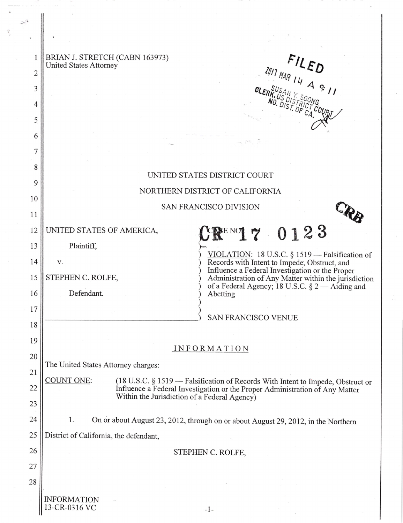| 1<br>$\overline{2}$ | BRIAN J. STRETCH (CABN 163973)<br>$\begin{array}{cc} & FIL & ED \\ & & \\ \hline \end{array}$<br><b>United States Attorney</b>                                                |
|---------------------|-------------------------------------------------------------------------------------------------------------------------------------------------------------------------------|
| 3                   |                                                                                                                                                                               |
| 4                   |                                                                                                                                                                               |
| 5                   |                                                                                                                                                                               |
| 6                   |                                                                                                                                                                               |
| 7                   |                                                                                                                                                                               |
| 8                   |                                                                                                                                                                               |
| 9                   | UNITED STATES DISTRICT COURT                                                                                                                                                  |
| 10                  | NORTHERN DISTRICT OF CALIFORNIA                                                                                                                                               |
| 11                  | SAN FRANCISCO DIVISION                                                                                                                                                        |
| 12                  | $\text{C}\mathbb{R}^{\text{\tiny{ENO}}}$ 7 0123<br>UNITED STATES OF AMERICA,                                                                                                  |
| 13                  | Plaintiff,                                                                                                                                                                    |
| 14                  | VIOLATION: 18 U.S.C. $\S 1519$ - Falsification of<br>Records with Intent to Impede, Obstruct, and<br>V.                                                                       |
| 15                  | Influence a Federal Investigation or the Proper<br>STEPHEN C. ROLFE,<br>Administration of Any Matter within the jurisdiction                                                  |
| 16                  | of a Federal Agency; 18 U.S.C. $\S 2 -$ Aiding and<br>Defendant.<br>Abetting                                                                                                  |
| 17                  | <b>SAN FRANCISCO VENUE</b>                                                                                                                                                    |
| 18                  |                                                                                                                                                                               |
| 19                  |                                                                                                                                                                               |
| 20                  | INFORMATION                                                                                                                                                                   |
| 21                  | The United States Attorney charges:                                                                                                                                           |
| 22                  | COUNT ONE:<br>(18 U.S.C. § 1519 – Falsification of Records With Intent to Impede, Obstruct or<br>Influence a Federal Investigation or the Proper Administration of Any Matter |
| 23                  | Within the Jurisdiction of a Federal Agency)                                                                                                                                  |
| 24                  | 1.<br>On or about August 23, 2012, through on or about August 29, 2012, in the Northern                                                                                       |
| 25                  | District of California, the defendant,                                                                                                                                        |
| 26                  | STEPHEN C. ROLFE,                                                                                                                                                             |
| 27                  |                                                                                                                                                                               |
| 28                  |                                                                                                                                                                               |
|                     | <b>INFORMATION</b>                                                                                                                                                            |

 $-1-$ 

13-CR-0316 VC

 $\widehat{\mathcal{C}}_{\mathcal{A},\widehat{\mathcal{C}}}$